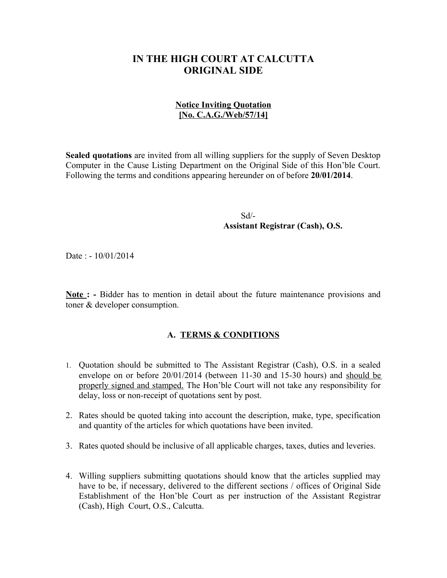## **IN THE HIGH COURT AT CALCUTTA ORIGINAL SIDE**

## **Notice Inviting Quotation [No. C.A.G./Web/57/14]**

**Sealed quotations** are invited from all willing suppliers for the supply of Seven Desktop Computer in the Cause Listing Department on the Original Side of this Hon'ble Court. Following the terms and conditions appearing hereunder on of before **20/01/2014**.

 Sd/- **Assistant Registrar (Cash), O.S.**

Date : - 10/01/2014

**Note : -** Bidder has to mention in detail about the future maintenance provisions and toner & developer consumption.

## **A. TERMS & CONDITIONS**

- 1. Quotation should be submitted to The Assistant Registrar (Cash), O.S. in a sealed envelope on or before 20/01/2014 (between 11-30 and 15-30 hours) and should be properly signed and stamped. The Hon'ble Court will not take any responsibility for delay, loss or non-receipt of quotations sent by post.
- 2. Rates should be quoted taking into account the description, make, type, specification and quantity of the articles for which quotations have been invited.
- 3. Rates quoted should be inclusive of all applicable charges, taxes, duties and leveries.
- 4. Willing suppliers submitting quotations should know that the articles supplied may have to be, if necessary, delivered to the different sections / offices of Original Side Establishment of the Hon'ble Court as per instruction of the Assistant Registrar (Cash), High Court, O.S., Calcutta.